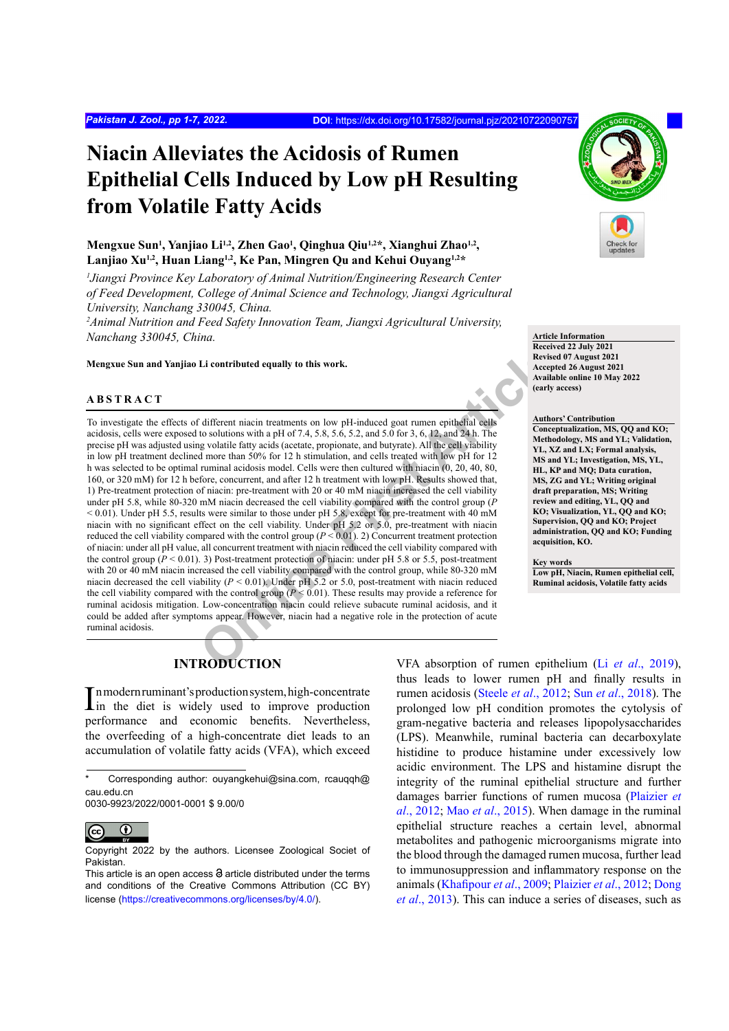# **Niacin Alleviates the Acidosis of Rumen Epithelial Cells Induced by Low pH Resulting from Volatile Fatty Acids**

# Mengxue Sun<sup>1</sup>, Yanjiao Li<sup>1,2</sup>, Zhen Gao<sup>1</sup>, Qinghua Qiu<sup>1,2\*</sup>, Xianghui Zhao<sup>1,2</sup>, **Lanjiao Xu1,2, Huan Liang1,2, Ke Pan, Mingren Qu and Kehui Ouyang1,2\***

*1 Jiangxi Province Key Laboratory of Animal Nutrition/Engineering Research Center of Feed Development, College of Animal Science and Technology, Jiangxi Agricultural University, Nanchang 330045, China.*

*2 Animal Nutrition and Feed Safety Innovation Team, Jiangxi Agricultural University, Nanchang 330045, China.*

**Mengxue Sun and Yanjiao Li contributed equally to this work.**

# **ABSTRACT**

Li contributed equally to this work.<br>
Revise Revise<br>
Revise Revise<br>
Telifferent niacin treatments on low pH-induced goat runen epithelial cells<br>
to solutions with a pH of 74, 5.8, 56, 52, and 5.0 for 3, 6, 12, and 24 h. T To investigate the effects of different niacin treatments on low pH-induced goat rumen epithelial cells acidosis, cells were exposed to solutions with a pH of 7.4, 5.8, 5.6, 5.2, and 5.0 for 3, 6, 12, and 24 h. The precise pH was adjusted using volatile fatty acids (acetate, propionate, and butyrate). All the cell viability in low pH treatment declined more than 50% for 12 h stimulation, and cells treated with low pH for 12 h was selected to be optimal ruminal acidosis model. Cells were then cultured with niacin (0, 20, 40, 80, 160, or 320 mM) for 12 h before, concurrent, and after 12 h treatment with low pH. Results showed that, 1) Pre-treatment protection of niacin: pre-treatment with 20 or 40 mM niacin increased the cell viability under pH 5.8, while 80-320 mM niacin decreased the cell viability compared with the control group (*P*  < 0.01). Under pH 5.5, results were similar to those under pH 5.8, except for pre-treatment with 40 mM niacin with no significant effect on the cell viability. Under pH 5.2 or 5.0, pre-treatment with niacin reduced the cell viability compared with the control group  $(P < 0.01)$ . 2) Concurrent treatment protection of niacin: under all pH value, all concurrent treatment with niacin reduced the cell viability compared with the control group ( $P < 0.01$ ). 3) Post-treatment protection of niacin: under pH 5.8 or 5.5, post-treatment with 20 or 40 mM niacin increased the cell viability compared with the control group, while 80-320 mM niacin decreased the cell viability (*P* < 0.01). Under pH 5.2 or 5.0, post-treatment with niacin reduced the cell viability compared with the control group ( $P \le 0.01$ ). These results may provide a reference for ruminal acidosis mitigation. Low-concentration niacin could relieve subacute ruminal acidosis, and it could be added after symptoms appear. However, niacin had a negative role in the protection of acute ruminal acidosis.



**Article Information**

**Received 22 July 2021 Revised 07 August 2021 Accepted 26 August 2021 Available online 10 May 2022 (early access)**

#### **Authors' Contribution**

**Conceptualization, MS, QQ and KO; Methodology, MS and YL; Validation, YL, XZ and LX; Formal analysis, MS and YL; Investigation, MS, YL, HL, KP and MQ; Data curation, MS, ZG and YL; Writing original draft preparation, MS; Writing review and editing, YL, QQ and KO; Visualization, YL, QQ and KO; Supervision, QQ and KO; Project administration, QQ and KO; Funding acquisition, KO.**

**Key words**

**Low pH, Niacin, Rumen epithelial cell, Ruminal acidosis, Volatile fatty acids**

# **INTRODUCTION**

In modern ruminant's production system, high-concentrate<br>in the diet is widely used to improve production in the diet is widely used to improve production performance and economic benefits. Nevertheless, the overfeeding of a high-concentrate diet leads to an accumulation of volatile fatty acids (VFA), which exceed

0030-9923/2022/0001-0001 \$ 9.00/0

 $\odot$ 

VFA absorption of rumen epithelium (Li *et al*[., 2019\)](#page-5-0), thus leads to lower rumen pH and finally results in rumen acidosis (Steele *et al*[., 2012](#page-6-0); Sun *et al*[., 2018](#page-6-1)). The prolonged low pH condition promotes the cytolysis of gram-negative bacteria and releases lipopolysaccharides (LPS). Meanwhile, ruminal bacteria can decarboxylate histidine to produce histamine under excessively low acidic environment. The LPS and histamine disrupt the integrity of the ruminal epithelial structure and further damages barrier functions of rumen mucosa ([Plaizier](#page-6-2) *et al*[., 2012](#page-6-2); Mao *et al*[., 2015](#page-5-1)). When damage in the ruminal epithelial structure reaches a certain level, abnormal metabolites and pathogenic microorganisms migrate into the blood through the damaged rumen mucosa, further lead to immunosuppression and inflammatory response on the animals ([Khafipour](#page-5-2) *et al*., 2009; [Plaizier](#page-6-2) *et al*., 2012; [Dong](#page-5-3) *et al*[., 2013\)](#page-5-3). This can induce a series of diseases, such as

Corresponding author: ouyangkehui@sina.com, rcauqqh@ cau.edu.cn

Copyright 2022 by the authors. Licensee Zoological Societ of Pakistan.

This article is an open access  $\Theta$  article distributed under the terms and conditions of the Creative Commons Attribution (CC BY) license (https://creativecommons.org/licenses/by/4.0/).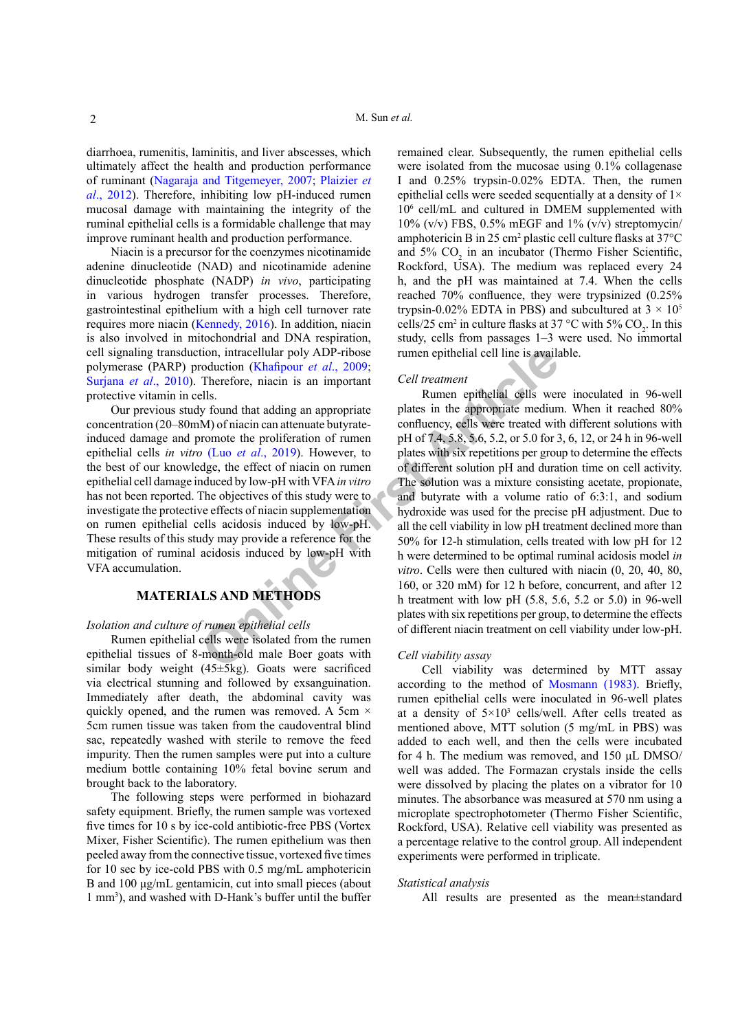diarrhoea, rumenitis, laminitis, and liver abscesses, which ultimately affect the health and production performance of ruminant ([Nagaraja and Titgemeyer, 2007](#page-6-3); [Plaizier](#page-6-2) *et al*[., 2012\)](#page-6-2). Therefore, inhibiting low pH-induced rumen mucosal damage with maintaining the integrity of the ruminal epithelial cells is a formidable challenge that may improve ruminant health and production performance.

Niacin is a precursor for the coenzymes nicotinamide adenine dinucleotide (NAD) and nicotinamide adenine dinucleotide phosphate (NADP) *in vivo*, participating in various hydrogen transfer processes. Therefore, gastrointestinal epithelium with a high cell turnover rate requires more niacin ([Kennedy, 2016\)](#page-5-4). In addition, niacin is also involved in mitochondrial and DNA respiration, cell signaling transduction, intracellular poly ADP-ribose polymerase (PARP) production (Khafipour *et al*., 2009; [Surjana](#page-6-4) *et al*., 2010). Therefore, niacin is an important protective vitamin in cells.

Our previous study found that adding an appropriate concentration (20–80mM) of niacin can attenuate butyrateinduced damage and promote the proliferation of rumen epithelial cells *in vitro* (Luo *et al*., 2019). However, to the best of our knowledge, the effect of niacin on rumen epithelial cell damage induced by low-pH with VFA *in vitro* has not been reported. The objectives of this study were to investigate the protective effects of niacin supplementation on rumen epithelial cells acidosis induced by low-pH. These results of this study may provide a reference for the mitigation of ruminal acidosis induced by low-pH with VFA accumulation.

# **MATERIALS AND METHODS**

#### *Isolation and culture of rumen epithelial cells*

Rumen epithelial cells were isolated from the rumen epithelial tissues of 8-month-old male Boer goats with similar body weight (45±5kg). Goats were sacrificed via electrical stunning and followed by exsanguination. Immediately after death, the abdominal cavity was quickly opened, and the rumen was removed. A 5cm  $\times$ 5cm rumen tissue was taken from the caudoventral blind sac, repeatedly washed with sterile to remove the feed impurity. Then the rumen samples were put into a culture medium bottle containing 10% fetal bovine serum and brought back to the laboratory.

The following steps were performed in biohazard safety equipment. Briefly, the rumen sample was vortexed five times for 10 s by ice-cold antibiotic-free PBS (Vortex Mixer, Fisher Scientific). The rumen epithelium was then peeled away from the connective tissue, vortexed five times for 10 sec by ice-cold PBS with 0.5 mg/mL amphotericin B and 100 μg/mL gentamicin, cut into small pieces (about 1 mm3 ), and washed with D-Hank's buffer until the buffer remained clear. Subsequently, the rumen epithelial cells were isolated from the mucosae using 0.1% collagenase I and 0.25% trypsin-0.02% EDTA. Then, the rumen epithelial cells were seeded sequentially at a density of 1× 106 cell/mL and cultured in DMEM supplemented with  $10\%$  (v/v) FBS, 0.5% mEGF and 1% (v/v) streptomycin/ amphotericin B in 25 cm<sup>2</sup> plastic cell culture flasks at  $37^{\circ}$ C and  $5\%$  CO<sub>2</sub> in an incubator (Thermo Fisher Scientific, Rockford, USA). The medium was replaced every 24 h, and the pH was maintained at 7.4. When the cells reached 70% confluence, they were trypsinized (0.25% trypsin-0.02% EDTA in PBS) and subcultured at  $3 \times 10^5$ cells/25 cm<sup>2</sup> in culture flasks at 37 °C with 5%  $CO_2$ . In this study, cells from passages 1–3 were used. No immortal rumen epithelial cell line is available.

## *Cell treatment*

tion, intracellular poly ADP-ribose<br>
Towardoucion (Khafipour *et al.*, 2009;<br>
Therefore, niacin is an important<br>
Therefore, niacin is an important<br>
Ells<br>
Sumen epithelial cells were<br>
Lune politeration<br>
M) of niacin can at Rumen epithelial cells were inoculated in 96-well plates in the appropriate medium. When it reached 80% confluency, cells were treated with different solutions with pH of 7.4, 5.8, 5.6, 5.2, or 5.0 for 3, 6, 12, or 24 h in 96-well plates with six repetitions per group to determine the effects of different solution pH and duration time on cell activity. The solution was a mixture consisting acetate, propionate, and butyrate with a volume ratio of 6:3:1, and sodium hydroxide was used for the precise pH adjustment. Due to all the cell viability in low pH treatment declined more than 50% for 12-h stimulation, cells treated with low pH for 12 h were determined to be optimal ruminal acidosis model *in vitro*. Cells were then cultured with niacin (0, 20, 40, 80, 160, or 320 mM) for 12 h before, concurrent, and after 12 h treatment with low pH (5.8, 5.6, 5.2 or 5.0) in 96-well plates with six repetitions per group, to determine the effects of different niacin treatment on cell viability under low-pH.

## *Cell viability assay*

Cell viability was determined by MTT assay according to the method of [Mosmann \(1983\)](#page-6-5). Briefly, rumen epithelial cells were inoculated in 96-well plates at a density of  $5 \times 10^3$  cells/well. After cells treated as mentioned above, MTT solution (5 mg/mL in PBS) was added to each well, and then the cells were incubated for 4 h. The medium was removed, and 150 μL DMSO/ well was added. The Formazan crystals inside the cells were dissolved by placing the plates on a vibrator for 10 minutes. The absorbance was measured at 570 nm using a microplate spectrophotometer (Thermo Fisher Scientific, Rockford, USA). Relative cell viability was presented as a percentage relative to the control group. All independent experiments were performed in triplicate.

#### *Statistical analysis*

All results are presented as the mean±standard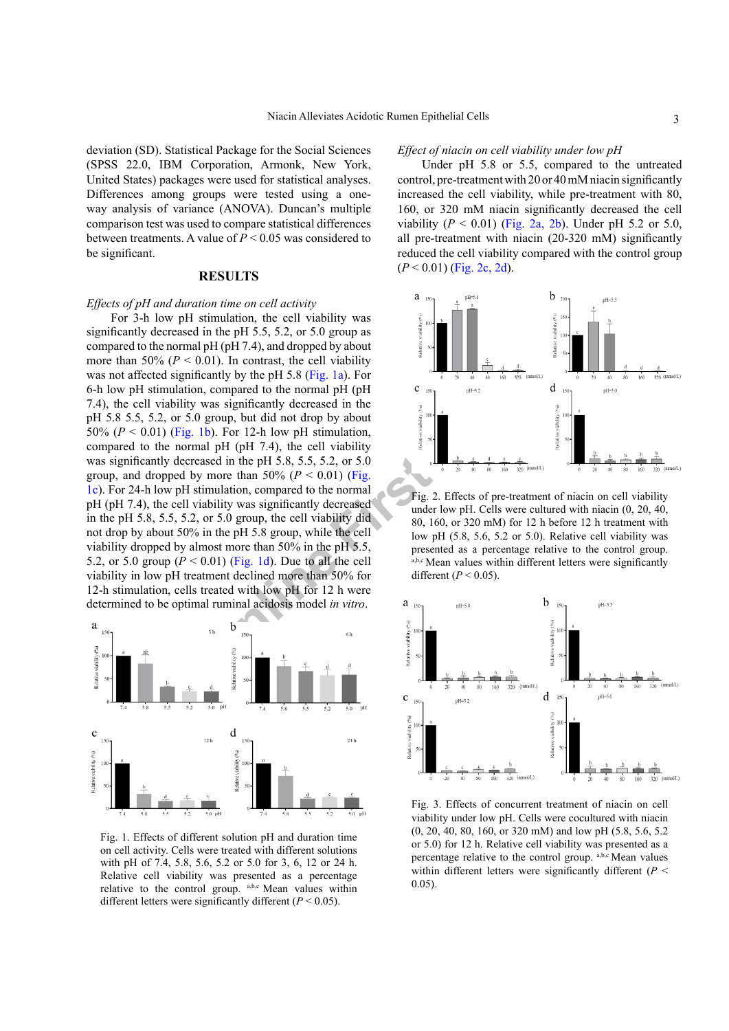deviation (SD). Statistical Package for the Social Sciences (SPSS 22.0, IBM Corporation, Armonk, New York, United States) packages were used for statistical analyses. Differences among groups were tested using a oneway analysis of variance (ANOVA). Duncan's multiple comparison test was used to compare statistical differences between treatments. A value of *P* < 0.05 was considered to be significant.

# **RESULTS**

### *Effects of pH and duration time on cell activity*

**Propries Article Solution**<br>
(Article), the collision of the collision of the collision of the normal pH (pH<br>  $\frac{2}{3}$  and the set of the normal pH (pH<br>
was significantly decreased in the<br> **ID**, For 12-h low pH stimulati For 3-h low pH stimulation, the cell viability was significantly decreased in the pH 5.5, 5.2, or 5.0 group as compared to the normal pH (pH 7.4), and dropped by about more than 50% ( $P < 0.01$ ). In contrast, the cell viability was not affected significantly by the pH 5.8 (Fig. 1a). For 6-h low pH stimulation, compared to the normal pH (pH 7.4), the cell viability was significantly decreased in the pH 5.8 5.5, 5.2, or 5.0 group, but did not drop by about 50%  $(P < 0.01)$  ([Fig. 1](#page-2-0)b). For 12-h low pH stimulation, compared to the normal pH (pH 7.4), the cell viability was significantly decreased in the pH 5.8, 5.5, 5.2, or 5.0 group, and dropped by more than 50% ( $P < 0.01$ ) (Fig. [1c](#page-2-0)). For 24-h low pH stimulation, compared to the normal pH (pH 7.4), the cell viability was significantly decreased in the pH 5.8, 5.5, 5.2, or 5.0 group, the cell viability did not drop by about 50% in the pH 5.8 group, while the cell viability dropped by almost more than 50% in the pH 5.5, 5.2, or 5.0 group  $(P < 0.01)$  (Fig. 1d). Due to all the cell viability in low pH treatment declined more than 50% for 12-h stimulation, cells treated with low pH for 12 h were determined to be optimal ruminal acidosis model *in vitro*.



<span id="page-2-0"></span>Fig. 1. Effects of different solution pH and duration time on cell activity. Cells were treated with different solutions with pH of 7.4, 5.8, 5.6, 5.2 or 5.0 for 3, 6, 12 or 24 h. Relative cell viability was presented as a percentage relative to the control group. a,b,c Mean values within different letters were significantly different  $(P < 0.05)$ .

#### *Effect of niacin on cell viability under low pH*

Under pH 5.8 or 5.5, compared to the untreated control, pre-treatment with 20 or 40 mM niacin significantly increased the cell viability, while pre-treatment with 80, 160, or 320 mM niacin significantly decreased the cell viability  $(P < 0.01)$  ([Fig. 2a, 2b\)](#page-2-1). Under pH 5.2 or 5.0, all pre-treatment with niacin (20-320 mM) significantly reduced the cell viability compared with the control group  $(P < 0.01)$  [\(Fig. 2c, 2](#page-2-1)d).



<span id="page-2-1"></span>Fig. 2. Effects of pre-treatment of niacin on cell viability under low pH. Cells were cultured with niacin (0, 20, 40, 80, 160, or 320 mM) for 12 h before 12 h treatment with low pH (5.8, 5.6, 5.2 or 5.0). Relative cell viability was presented as a percentage relative to the control group. a,b,c Mean values within different letters were significantly different ( $P < 0.05$ ).



<span id="page-2-2"></span>Fig. 3. Effects of concurrent treatment of niacin on cell viability under low pH. Cells were cocultured with niacin (0, 20, 40, 80, 160, or 320 mM) and low pH (5.8, 5.6, 5.2 or 5.0) for 12 h. Relative cell viability was presented as a percentage relative to the control group. a,b,c Mean values within different letters were significantly different (*P* < 0.05).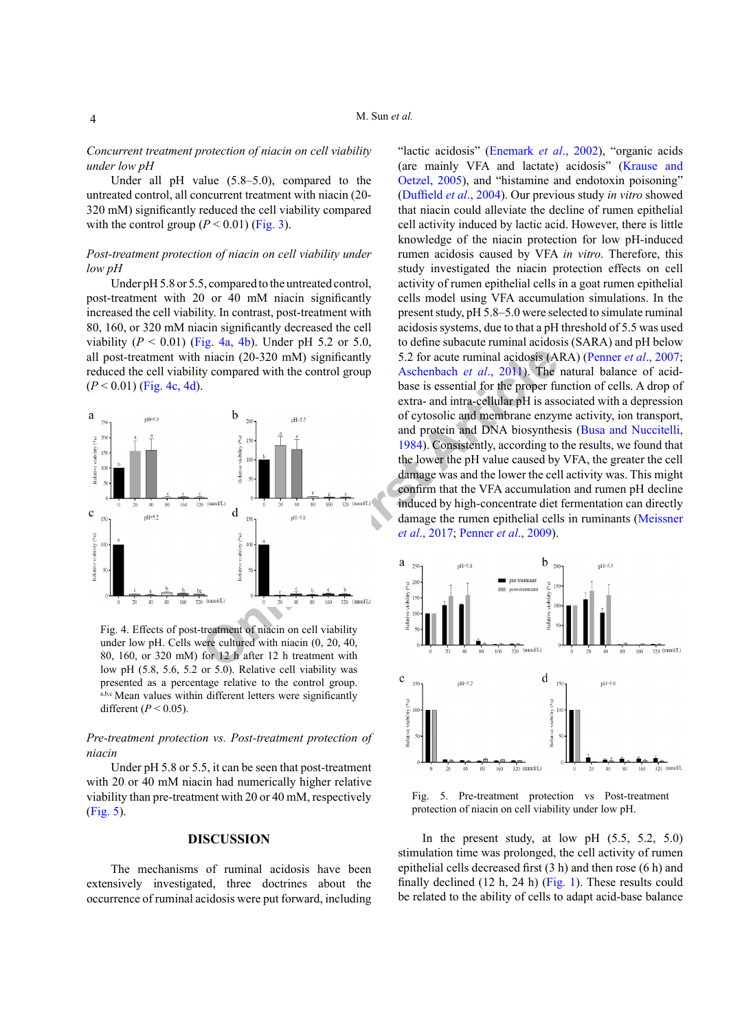*Concurrent treatment protection of niacin on cell viability under low pH*

Under all pH value (5.8–5.0), compared to the untreated control, all concurrent treatment with niacin (20- 320 mM) significantly reduced the cell viability compared with the control group  $(P < 0.01)$  ([Fig. 3](#page-2-2)).

# *Post-treatment protection of niacin on cell viability under low pH*

Under pH 5.8 or 5.5, compared to the untreated control, post-treatment with 20 or 40 mM niacin significantly increased the cell viability. In contrast, post-treatment with 80, 160, or 320 mM niacin significantly decreased the cell viability  $(P < 0.01)$  ([Fig. 4a, 4b\)](#page-3-0). Under pH 5.2 or 5.0, all post-treatment with niacin (20-320 mM) significantly reduced the cell viability compared with the control group  $(P < 0.01)$  [\(Fig. 4c, 4](#page-3-0)d).



<span id="page-3-0"></span>Fig. 4. Effects of post-treatment of niacin on cell viability under low pH. Cells were cultured with niacin (0, 20, 40, 80, 160, or 320 mM) for 12 h after 12 h treatment with low pH (5.8, 5.6, 5.2 or 5.0). Relative cell viability was presented as a percentage relative to the control group. a,b,c Mean values within different letters were significantly different ( $P < 0.05$ ).

*Pre-treatment protection vs. Post-treatment protection of niacin* 

Under pH 5.8 or 5.5, it can be seen that post-treatment with 20 or 40 mM niacin had numerically higher relative viability than pre-treatment with 20 or 40 mM, respectively [\(Fig. 5](#page-3-1)).

## **DISCUSSION**

The mechanisms of ruminal acidosis have been extensively investigated, three doctrines about the occurrence of ruminal acidosis were put forward, including

"lactic acidosis" (Enemark *et al*., 2002), "organic acids (are mainly VFA and lactate) acidosis" ([Krause and](#page-5-6)  [Oetzel, 2005](#page-5-6)), and "histamine and endotoxin poisoning" ([Duffield](#page-5-7) *et al*., 2004). Our previous study *in vitro* showed that niacin could alleviate the decline of rumen epithelial cell activity induced by lactic acid. However, there is little knowledge of the niacin protection for low pH-induced rumen acidosis caused by VFA *in vitro*. Therefore, this study investigated the niacin protection effects on cell activity of rumen epithelial cells in a goat rumen epithelial cells model using VFA accumulation simulations. In the present study, pH 5.8–5.0 were selected to simulate ruminal acidosis systems, due to that a pH threshold of 5.5 was used to define subacute ruminal acidosis (SARA) and pH below 5.2 for acute ruminal acidosis (ARA) ([Penner](#page-6-6) *et al*., 2007; Aschenbach *et al*., 2011). The natural balance of acidbase is essential for the proper function of cells. A drop of extra- and intra-cellular pH is associated with a depression of cytosolic and membrane enzyme activity, ion transport, and protein and DNA biosynthesis [\(Busa and Nuccitelli,](#page-5-8)  1984). Consistently, according to the results, we found that the lower the pH value caused by VFA, the greater the cell damage was and the lower the cell activity was. This might confirm that the VFA accumulation and rumen pH decline induced by high-concentrate diet fermentation can directly damage the rumen epithelial cells in ruminants (Meissner *et al*., 2017; Penner *et al*., 2009).



<span id="page-3-1"></span>Fig. 5. Pre-treatment protection vs Post-treatment protection of niacin on cell viability under low pH.

In the present study, at low pH  $(5.5, 5.2, 5.0)$ stimulation time was prolonged, the cell activity of rumen epithelial cells decreased first (3 h) and then rose (6 h) and finally declined (12 h, 24 h) ([Fig. 1](#page-2-0)). These results could be related to the ability of cells to adapt acid-base balance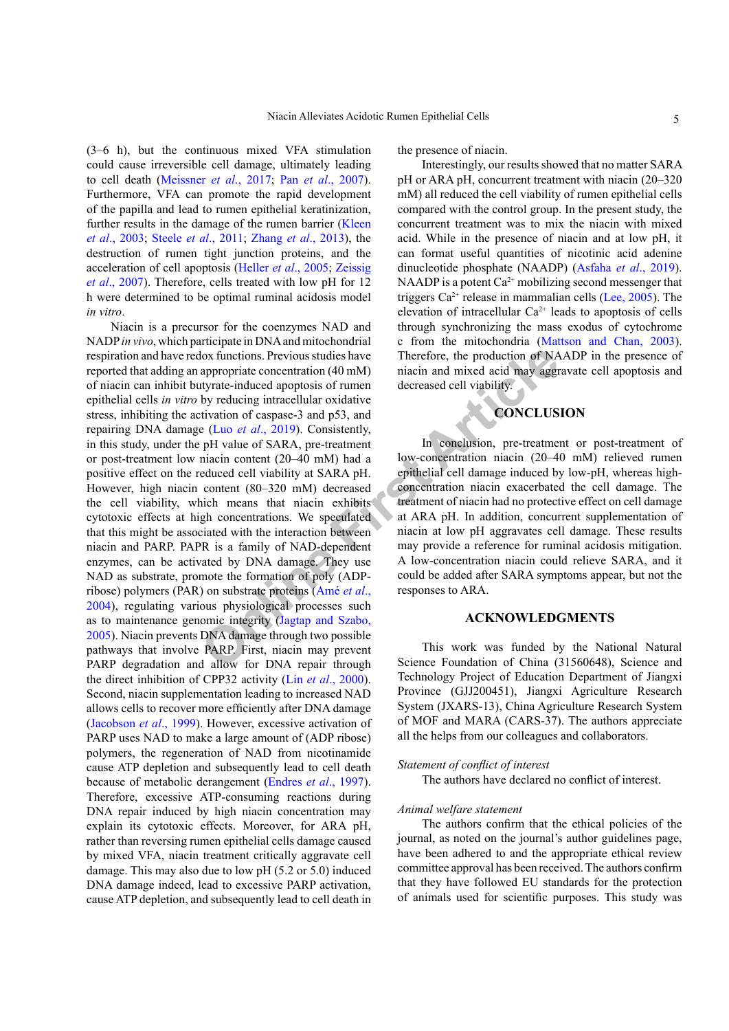(3–6 h), but the continuous mixed VFA stimulation could cause irreversible cell damage, ultimately leading to cell death (Meissner *et al*., 2017; Pan *et al*[., 2007](#page-6-7)). Furthermore, VFA can promote the rapid development of the papilla and lead to rumen epithelial keratinization, further results in the damage of the rumen barrier [\(Kleen](#page-5-9) *et al*[., 2003;](#page-5-9) Steele *et al*[., 2011;](#page-6-8) [Zhang](#page-6-9) *et al*., 2013), the destruction of rumen tight junction proteins, and the acceleration of cell apoptosis (Heller *et al*[., 2005](#page-5-10); Zeissig *et al*., 2007). Therefore, cells treated with low pH for 12 h were determined to be optimal ruminal acidosis model *in vitro*.

dox functions. Previous studies have<br>
appropriate concentration (40 mM) inacin and mixed acid may aggrity<br>
artic[l](#page-5-11)e in decreased cell viability.<br>
by reducing intracellular oxidative<br>
tivation of caspase-3 and p53, and<br>
(Luo Niacin is a precursor for the coenzymes NAD and NADP *in vivo*, which participate in DNA and mitochondrial respiration and have redox functions. Previous studies have reported that adding an appropriate concentration (40 mM) of niacin can inhibit butyrate-induced apoptosis of rumen epithelial cells *in vitro* by reducing intracellular oxidative stress, inhibiting the activation of caspase-3 and p53, and repairing DNA damage (Luo *et al*., 2019). Consistently, in this study, under the pH value of SARA, pre-treatment or post-treatment low niacin content (20–40 mM) had a positive effect on the reduced cell viability at SARA pH. However, high niacin content (80–320 mM) decreased the cell viability, which means that niacin exhibits cytotoxic effects at high concentrations. We speculated that this might be associated with the interaction between niacin and PARP. PAPR is a family of NAD-dependent enzymes, can be activated by DNA damage. They use NAD as substrate, promote the formation of poly (ADPribose) polymers (PAR) on substrate proteins (Amé *et al*., 2004), regulating various physiological processes such as to maintenance genomic integrity (Jagtap and Szabo, [2005](#page-5-11)). Niacin prevents DNA damage through two possible pathways that involve PARP. First, niacin may prevent PARP degradation and allow for DNA repair through the direct inhibition of CPP32 activity (Lin *et al*[., 2000](#page-5-12)). Second, niacin supplementation leading to increased NAD allows cells to recover more efficiently after DNA damage [\(Jacobson](#page-5-13) *et al*., 1999). However, excessive activation of PARP uses NAD to make a large amount of (ADP ribose) polymers, the regeneration of NAD from nicotinamide cause ATP depletion and subsequently lead to cell death because of metabolic derangement [\(Endres](#page-5-14) *et al*., 1997). Therefore, excessive ATP-consuming reactions during DNA repair induced by high niacin concentration may explain its cytotoxic effects. Moreover, for ARA pH, rather than reversing rumen epithelial cells damage caused by mixed VFA, niacin treatment critically aggravate cell damage. This may also due to low pH (5.2 or 5.0) induced DNA damage indeed, lead to excessive PARP activation, cause ATP depletion, and subsequently lead to cell death in

the presence of niacin.

Interestingly, our results showed that no matter SARA pH or ARA pH, concurrent treatment with niacin (20–320 mM) all reduced the cell viability of rumen epithelial cells compared with the control group. In the present study, the concurrent treatment was to mix the niacin with mixed acid. While in the presence of niacin and at low pH, it can format useful quantities of nicotinic acid adenine dinucleotide phosphate (NAADP) ([Asfaha](#page-5-15) *et al*., 2019). NAADP is a potent  $Ca^{2+}$  mobilizing second messenger that triggers  $Ca^{2+}$  release in mammalian cells [\(Lee, 2005](#page-5-16)). The elevation of intracellular  $Ca^{2+}$  leads to apoptosis of cells through synchronizing the mass exodus of cytochrome c from the mitochondria [\(Mattson and Chan, 2003](#page-6-10)). Therefore, the production of NAADP in the presence of niacin and mixed acid may aggravate cell apoptosis and decreased cell viability.

# **CONCLUSION**

In conclusion, pre-treatment or post-treatment of low-concentration niacin (20–40 mM) relieved rumen epithelial cell damage induced by low-pH, whereas highconcentration niacin exacerbated the cell damage. The treatment of niacin had no protective effect on cell damage at ARA pH. In addition, concurrent supplementation of niacin at low pH aggravates cell damage. These results may provide a reference for ruminal acidosis mitigation. A low-concentration niacin could relieve SARA, and it could be added after SARA symptoms appear, but not the responses to ARA.

# **ACKNOWLEDGMENTS**

This work was funded by the National Natural Science Foundation of China (31560648), Science and Technology Project of Education Department of Jiangxi Province (GJJ200451), Jiangxi Agriculture Research System (JXARS-13), China Agriculture Research System of MOF and MARA (CARS-37). The authors appreciate all the helps from our colleagues and collaborators.

#### *Statement of conflict of interest*

The authors have declared no conflict of interest.

#### *Animal welfare statement*

The authors confirm that the ethical policies of the journal, as noted on the journal's author guidelines page, have been adhered to and the appropriate ethical review committee approval has been received. The authors confirm that they have followed EU standards for the protection of animals used for scientific purposes. This study was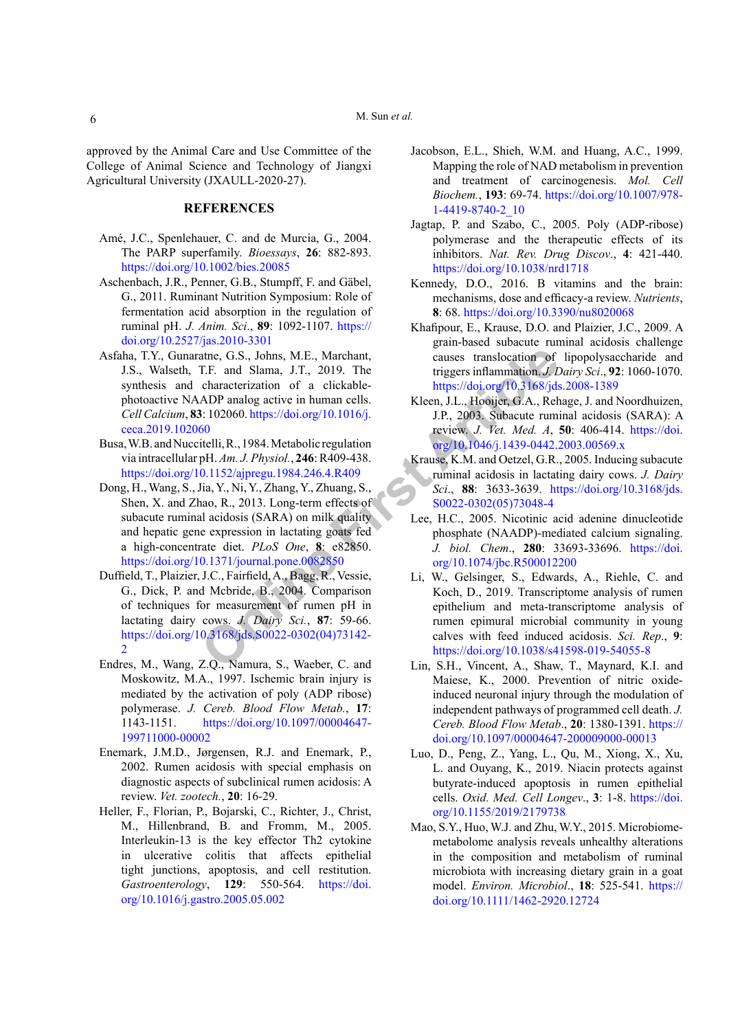approved by the Animal Care and Use Committee of the College of Animal Science and Technology of Jiangxi Agricultural University (JXAULL-2020-27).

# **REFERENCES**

- Amé, J.C., Spenlehauer, C. and de Murcia, G., 2004. The PARP superfamily. *Bioessays*, **26**: 882-893. <https://doi.org/10.1002/bies.20085>
- Aschenbach, J.R., Penner, G.B., Stumpff, F. and Gäbel, G., 2011. Ruminant Nutrition Symposium: Role of fermentation acid absorption in the regulation of ruminal pH. *J. Anim. Sci*., **89**: 1092-1107. [https://](https://doi.org/10.2527/jas.2010-3301) [doi.org/10.2527/jas.2010-3301](https://doi.org/10.2527/jas.2010-3301)
- <span id="page-5-15"></span>atne, G.S., Johns, M.E., Marchant,<br>
Calistant, Causes translocation of<br>
T.F. and Slama, J.T., 2019. The triggers inflammation *J.L.*<br>
characterization of a clickable-<br>
ADP andg active in human cells.<br>
Stephen, G.A., Reb 1. Asfaha, T.Y., Gunaratne, G.S., Johns, M.E., Marchant, J.S., Walseth, T.F. and Slama, J.T., 2019. The synthesis and characterization of a clickablephotoactive NAADP analog active in human cells. *Cell Calcium*, **83**: 102060. https://doi.org/10.1016/j. [ceca.2019.102060](https://doi.org/10.1016/j.ceca.2019.102060)
- <span id="page-5-8"></span>Busa, W.B. and Nuccitelli, R., 1984. Metabolic regulation via intracellular pH. *Am. J. Physiol.*, **246**: R409-438. <https://doi.org/10.1152/ajpregu.1984.246.4.R409>
- <span id="page-5-3"></span>Dong, H., Wang, S., Jia, Y., Ni, Y., Zhang, Y., Zhuang, S., Shen, X. and Zhao, R., 2013. Long-term effects of subacute ruminal acidosis (SARA) on milk quality and hepatic gene expression in lactating goats fed a high-concentrate diet. *PLoS One*, **8**: e82850. <https://doi.org/10.1371/journal.pone.0082850>
- <span id="page-5-7"></span>Duffield, T., Plaizier, J.C., Fairfield, A., Bagg, R., Vessie, G., Dick, P. and Mcbride, B., 2004. Comparison of techniques for measurement of rumen pH in lactating dairy cows. *J. Dairy Sci.*, **87**: 59-66. [https://doi.org/10.3168/jds.S0022-0302\(04\)73142-](https://doi.org/10.3168/jds.S0022-0302(04)73142-2)  $\overline{2}$  $\overline{2}$  $\overline{2}$
- <span id="page-5-14"></span>Endres, M., Wang, Z.Q., Namura, S., Waeber, C. and Moskowitz, M.A., 1997. Ischemic brain injury is mediated by the activation of poly (ADP ribose) polymerase. *J. Cereb. Blood Flow Metab.*, **17**: 1143-1151. [https://doi.org/10.1097/00004647-](https://doi.org/10.1097/00004647-199711000-00002) [199711000-00002](https://doi.org/10.1097/00004647-199711000-00002)
- Enemark, J.M.D., Jørgensen, R.J. and Enemark, P., 2002. Rumen acidosis with special emphasis on diagnostic aspects of subclinical rumen acidosis: A review. *Vet. zootech.*, **20**: 16-29.
- <span id="page-5-10"></span>Heller, F., Florian, P., Bojarski, C., Richter, J., Christ, M., Hillenbrand, B. and Fromm, M., 2005. Interleukin-13 is the key effector Th2 cytokine in ulcerative colitis that affects epithelial tight junctions, apoptosis, and cell restitution. *Gastroenterology*, **129**: 550-564. [https://doi.](https://doi.org/10.1016/j.gastro.2005.05.002) [org/10.1016/j.gastro.2005.05.002](https://doi.org/10.1016/j.gastro.2005.05.002)
- <span id="page-5-13"></span>Jacobson, E.L., Shieh, W.M. and Huang, A.C., 1999. Mapping the role of NAD metabolism in prevention and treatment of carcinogenesis. *Mol. Cell Biochem.*, **193**: 69-74. [https://doi.org/10.1007/978-](https://doi.org/10.1007/978-1-4419-8740-2_10) [1-4419-8740-2\\_10](https://doi.org/10.1007/978-1-4419-8740-2_10)
- <span id="page-5-11"></span>Jagtap, P. and Szabo, C., 2005. Poly (ADP-ribose) polymerase and the therapeutic effects of its inhibitors. *Nat. Rev. Drug Discov*., **4**: 421-440. <https://doi.org/10.1038/nrd1718>
- <span id="page-5-4"></span>Kennedy, D.O., 2016. B vitamins and the brain: mechanisms, dose and efficacy-a review. *Nutrients*, **8**: 68. <https://doi.org/10.3390/nu8020068>
- <span id="page-5-2"></span>Khafipour, E., Krause, D.O. and Plaizier, J.C., 2009. A grain-based subacute ruminal acidosis challenge causes translocation of lipopolysaccharide and triggers inflammation. *J. Dairy Sci*., **92**: 1060-1070. <https://doi.org/10.3168/jds.2008-1389>
- <span id="page-5-9"></span>Kleen, J.L., Hooijer, G.A., Rehage, J. and Noordhuizen, J.P., 2003. Subacute ruminal acidosis (SARA): A review. *J. Vet. Med. A*, **50**: 406-414. [https://doi.](https://doi.org/10.1046/j.1439-0442.2003.00569.x) [org/10.1046/j.1439-0442.2003.00569.x](https://doi.org/10.1046/j.1439-0442.2003.00569.x)
- <span id="page-5-6"></span>Krause, K.M. and Oetzel, G.R., 2005. Inducing subacute ruminal acidosis in lactating dairy cows. *J. Dairy Sci*., **88**: 3633-3639. [https://doi.org/10.3168/jds.](https://doi.org/10.3168/jds.S0022-0302(05)73048-4) S0022-0302(05)73048-4
- <span id="page-5-16"></span>Lee, H.C., 2005. Nicotinic acid adenine dinucleotide phosphate (NAADP)-mediated calcium signaling. *J. biol. Chem*., **280**: 33693-33696. [https://doi.](https://doi.org/10.1074/jbc.R500012200) org/10.1074/jbc.R500012200
- <span id="page-5-0"></span>Li, W., Gelsinger, S., Edwards, A., Riehle, C. and Koch, D., 2019. Transcriptome analysis of rumen epithelium and meta-transcriptome analysis of rumen epimural microbial community in young calves with feed induced acidosis. *Sci. Rep*., **9**: <https://doi.org/10.1038/s41598-019-54055-8>
- <span id="page-5-12"></span>Lin, S.H., Vincent, A., Shaw, T., Maynard, K.I. and Maiese, K., 2000. Prevention of nitric oxideinduced neuronal injury through the modulation of independent pathways of programmed cell death. *J. Cereb. Blood Flow Metab*., **20**: 1380-1391. [https://](https://doi.org/10.1097/00004647-200009000-00013) [doi.org/10.1097/00004647-200009000-00013](https://doi.org/10.1097/00004647-200009000-00013)
- <span id="page-5-5"></span>Luo, D., Peng, Z., Yang, L., Qu, M., Xiong, X., Xu, L. and Ouyang, K., 2019. Niacin protects against butyrate-induced apoptosis in rumen epithelial cells. *Oxid. Med. Cell Longev*., **3**: 1-8. [https://doi.](https://doi.org/10.1155/2019/2179738) [org/10.1155/2019/2179738](https://doi.org/10.1155/2019/2179738)
- <span id="page-5-1"></span>Mao, S.Y., Huo, W.J. and Zhu, W.Y., 2015. Microbiomemetabolome analysis reveals unhealthy alterations in the composition and metabolism of ruminal microbiota with increasing dietary grain in a goat model. *Environ. Microbiol*., **18**: 525-541. [https://](https://doi.org/10.1111/1462-2920.12724) [doi.org/10.1111/1462-2920.12724](https://doi.org/10.1111/1462-2920.12724)